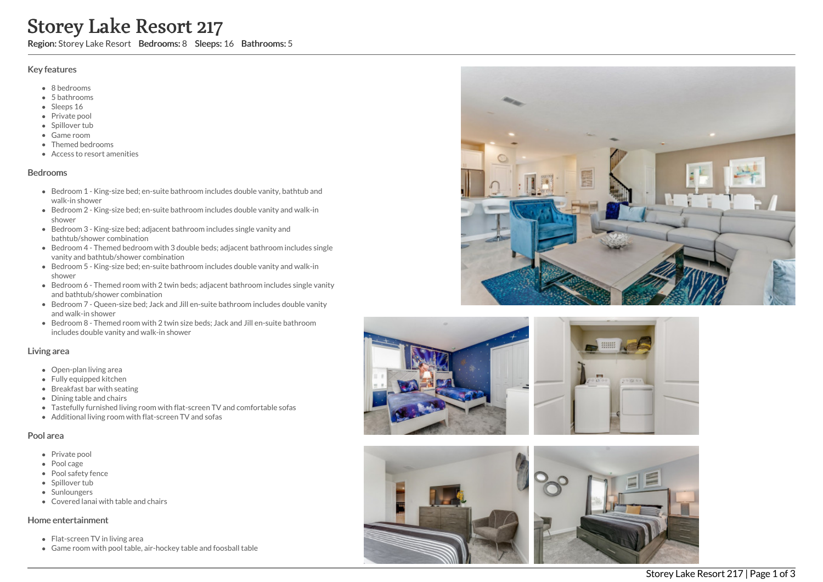# Storey Lake Resort 217

Region: Storey Lake Resort Bedrooms: 8 Sleeps: 16 Bathrooms: 5

#### Key features

- 8 b e d r o o m s
- 5 b a t h r o o m s
- Sleeps 16
- Private pool
- Spillover tub
- Game room
- Themed bedr o o m s
- Access to resort amenities

#### **Bedrooms**

- Bedroom 1 King-size bed; en-suite bathroom includes double vanity, bathtub and walk-in shower
- Bedroom 2 King-size bed; en-suite bathroom includes double vanity and walk-in s h o w e r
- Bedroom 3 King-size bed; adjacent bathroom includes single vanity and bathtub/shower combination
- Bedroom 4 Themed bedroom with 3 double beds; adjacent bathroom includes single vanity and bathtub/shower combination
- Bedroom 5 King-size bed; en-suite bathroom includes double vanity and walk-in s h o w e r
- Bedroom 6 Themed room with 2 twin beds; adjacent bathroom includes single vanity and bathtub/shower combination
- Bedroom 7 Queen-size bed; Jack and Jill en-suite bathroom includes double vanity a n d w alk -in s h o w e r
- Bedroom 8 Themed room with 2 twin size beds; Jack and Jill en-suite bathroom includes double vanity and walk-in shower

#### Living area

- Open-plan living area
- Fully equipped kitchen
- Breakfast bar with seating
- Dining table and chairs
- Tastefully furnished living room with flat-screen TV and comfortable sofas
- Additional living room with flat-screen TV and sofas

#### Pool area

- Private pool
- Pool cage
- Pool safety fence
- Spillover tub
- **Sunloungers**
- Covered lanai with table and chairs

#### Home entertainment

- Flat-screen TV in living area
- Game room with pool table, air-hockey table and foosball table





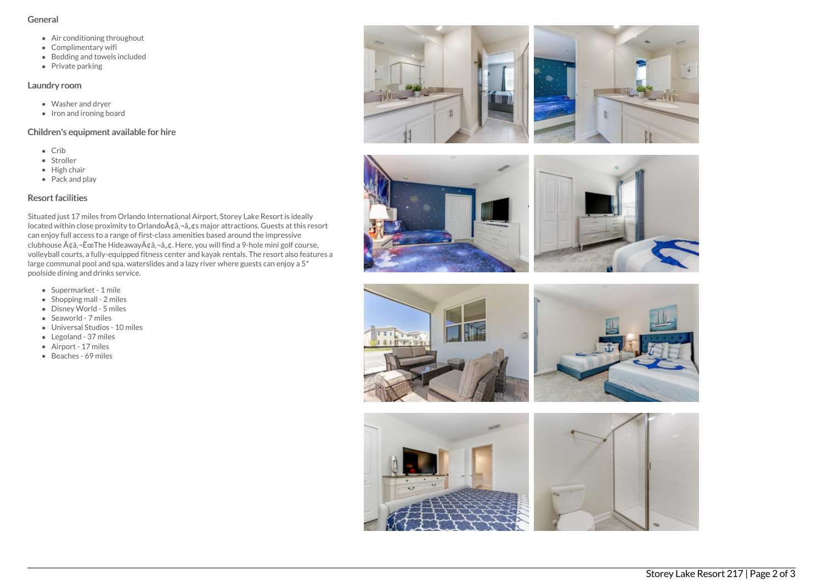#### General

- Air conditioning throughout
- Complimentary wifi
- Bedding and towels included
- $\bullet$  Private parking

#### Laundry room

- Washer and dryer
- $\bullet$  Iron and ironing board

### Children's equipment available for hire

- Crib
- Stroller
- $\bullet$  High chair
- Pack and play

## Resort facilities

Situated just 17 miles from Orlando International Airport, Storey Lake Resort is ideally located within close proximity to Orlando $A\alpha$ ;  $\alpha$ ,  $\alpha$ s major attractions. Guests at this resort can enjoy full access to a range of first-class amenities based around the impressive clubhouse  $A \phi a$ , - Ëce The Hideaway $A \phi a$ , - $a$ ,  $\phi a$ . Here, you will find a 9-hole mini golf course, volleyball courts, a fully-equipped fitness center and kayak rentals. The resort also features a large communal pool and spa, waterslides and a lazy river where guests can enjoy a 5\* poolside dining and drinks service.

- Supermarket 1 mile
- $\bullet$  Shopping mall 2 miles
- Disney World 5 miles
- Seaworld 7 miles
- Universal Studios 10 miles
- Legoland 37 miles
- Airport 17 miles
- Beaches 69 miles